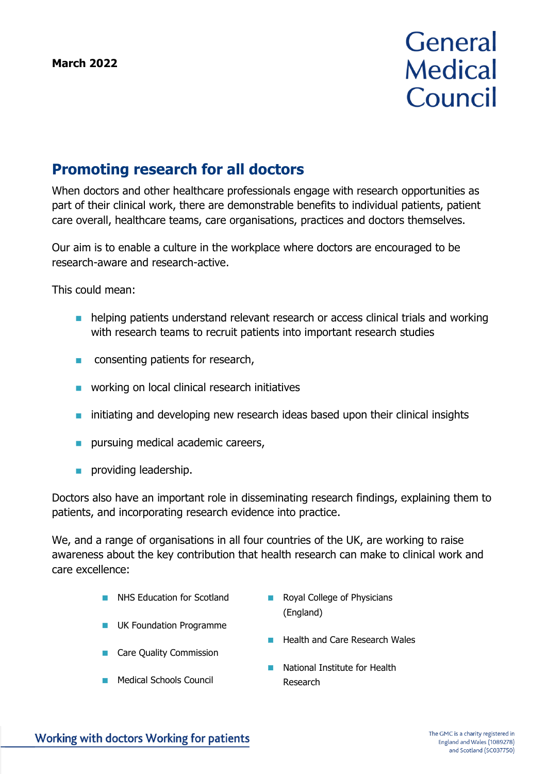# **General Medical** Council

# **Promoting research for all doctors**

When doctors and other healthcare professionals engage with research opportunities as part of their clinical work, there are demonstrable benefits to individual patients, patient care overall, healthcare teams, care organisations, practices and doctors themselves.

Our aim is to enable a culture in the workplace where doctors are encouraged to be research-aware and research-active.

This could mean:

- helping patients understand relevant research or access clinical trials and working with research teams to recruit patients into important research studies
- consenting patients for research,
- working on local clinical research initiatives
- initiating and developing new research ideas based upon their clinical insights
- pursuing medical academic careers,
- providing leadership.

Doctors also have an important role in disseminating research findings, explaining them to patients, and incorporating research evidence into practice.

We, and a range of organisations in all four countries of the UK, are working to raise awareness about the key contribution that health research can make to clinical work and care excellence:

- NHS Education for Scotland
- Royal College of Physicians (England)
- UK Foundation Programme
- Care Quality Commission
- Medical Schools Council
- Health and Care Research Wales
- National Institute for Health Research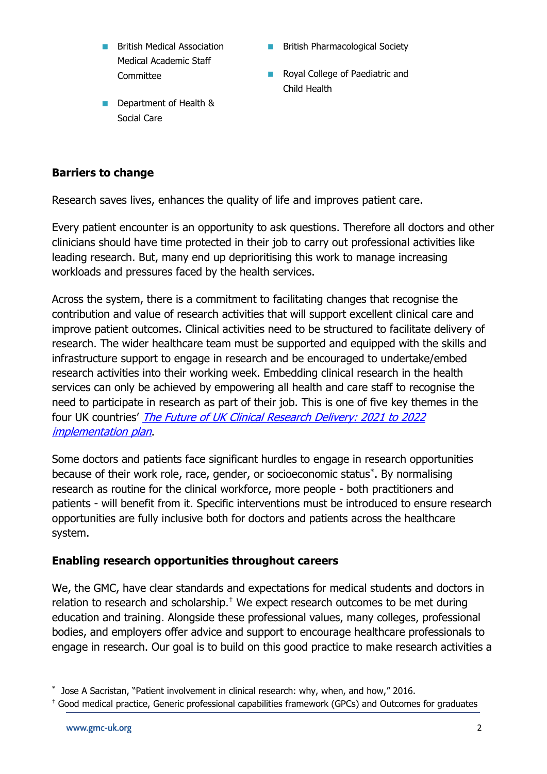- **British Medical Association** Medical Academic Staff **Committee**
- Department of Health & Social Care
- British Pharmacological Society
- Royal College of Paediatric and Child Health

# **Barriers to change**

Research saves lives, enhances the quality of life and improves patient care.

Every patient encounter is an opportunity to ask questions. Therefore all doctors and other clinicians should have time protected in their job to carry out professional activities like leading research. But, many end up deprioritising this work to manage increasing workloads and pressures faced by the health services.

Across the system, there is a commitment to facilitating changes that recognise the contribution and value of research activities that will support excellent clinical care and improve patient outcomes. Clinical activities need to be structured to facilitate delivery of research. The wider healthcare team must be supported and equipped with the skills and infrastructure support to engage in research and be encouraged to undertake/embed research activities into their working week. Embedding clinical research in the health services can only be achieved by empowering all health and care staff to recognise the need to participate in research as part of their job. This is one of five key themes in the four UK countries' [The Future of UK Clinical Research Delivery: 2021 to 2022](https://www.gov.uk/government/publications/the-future-of-uk-clinical-research-delivery-2021-to-2022-implementation-plan/the-future-of-uk-clinical-research-delivery-2021-to-2022-implementation-plan)  [implementation plan](https://www.gov.uk/government/publications/the-future-of-uk-clinical-research-delivery-2021-to-2022-implementation-plan/the-future-of-uk-clinical-research-delivery-2021-to-2022-implementation-plan).

Some doctors and patients face significant hurdles to engage in research opportunities because of their work role, race, gender, or socioeconomic status\* . By normalising research as routine for the clinical workforce, more people - both practitioners and patients - will benefit from it. Specific interventions must be introduced to ensure research opportunities are fully inclusive both for doctors and patients across the healthcare system.

# **Enabling research opportunities throughout careers**

We, the GMC, have clear standards and expectations for medical students and doctors in relation to research and scholarship.<sup>†</sup> We expect research outcomes to be met during education and training. Alongside these professional values, many colleges, professional bodies, and employers offer advice and support to encourage healthcare professionals to engage in research. Our goal is to build on this good practice to make research activities a

<sup>\*</sup> Jose A Sacristan, "Patient involvement in clinical research: why, when, and how," 2016.

<sup>†</sup> Good medical practice, Generic professional capabilities framework (GPCs) and Outcomes for graduates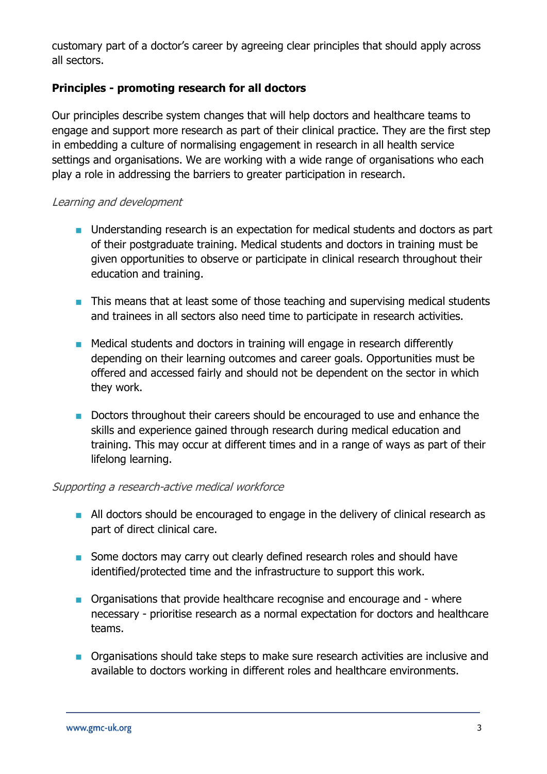customary part of a doctor's career by agreeing clear principles that should apply across all sectors.

# **Principles - promoting research for all doctors**

Our principles describe system changes that will help doctors and healthcare teams to engage and support more research as part of their clinical practice. They are the first step in embedding a culture of normalising engagement in research in all health service settings and organisations. We are working with a wide range of organisations who each play a role in addressing the barriers to greater participation in research.

#### Learning and development

- Understanding research is an expectation for medical students and doctors as part of their postgraduate training. Medical students and doctors in training must be given opportunities to observe or participate in clinical research throughout their education and training.
- This means that at least some of those teaching and supervising medical students and trainees in all sectors also need time to participate in research activities.
- Medical students and doctors in training will engage in research differently depending on their learning outcomes and career goals. Opportunities must be offered and accessed fairly and should not be dependent on the sector in which they work.
- Doctors throughout their careers should be encouraged to use and enhance the skills and experience gained through research during medical education and training. This may occur at different times and in a range of ways as part of their lifelong learning.

#### Supporting a research-active medical workforce

- All doctors should be encouraged to engage in the delivery of clinical research as part of direct clinical care.
- Some doctors may carry out clearly defined research roles and should have identified/protected time and the infrastructure to support this work.
- Organisations that provide healthcare recognise and encourage and where necessary - prioritise research as a normal expectation for doctors and healthcare teams.
- Organisations should take steps to make sure research activities are inclusive and available to doctors working in different roles and healthcare environments.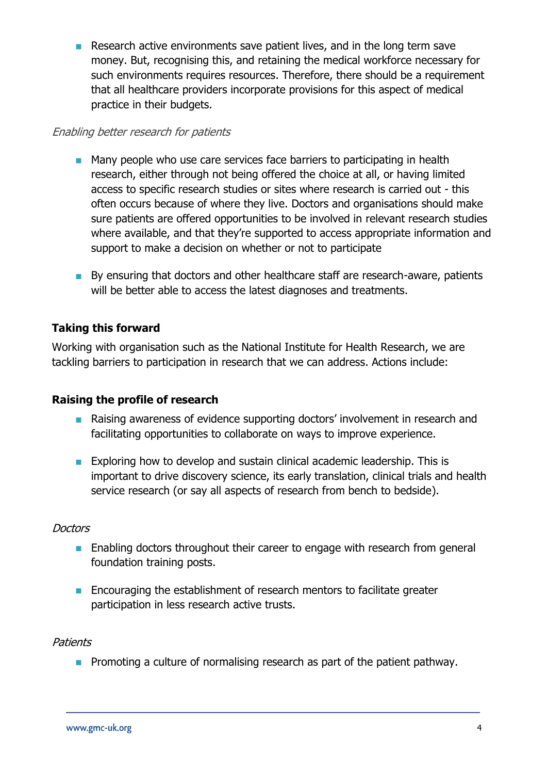■ Research active environments save patient lives, and in the long term save money. But, recognising this, and retaining the medical workforce necessary for such environments requires resources. Therefore, there should be a requirement that all healthcare providers incorporate provisions for this aspect of medical practice in their budgets.

#### Enabling better research for patients

- Many people who use care services face barriers to participating in health research, either through not being offered the choice at all, or having limited access to specific research studies or sites where research is carried out - this often occurs because of where they live. Doctors and organisations should make sure patients are offered opportunities to be involved in relevant research studies where available, and that they're supported to access appropriate information and support to make a decision on whether or not to participate
- By ensuring that doctors and other healthcare staff are research-aware, patients will be better able to access the latest diagnoses and treatments.

### **Taking this forward**

Working with organisation such as the National Institute for Health Research, we are tackling barriers to participation in research that we can address. Actions include:

#### **Raising the profile of research**

- Raising awareness of evidence supporting doctors' involvement in research and facilitating opportunities to collaborate on ways to improve experience.
- Exploring how to develop and sustain clinical academic leadership. This is important to drive discovery science, its early translation, clinical trials and health service research (or say all aspects of research from bench to bedside).

#### **Doctors**

- Enabling doctors throughout their career to engage with research from general foundation training posts.
- Encouraging the establishment of research mentors to facilitate greater participation in less research active trusts.

#### **Patients**

■ Promoting a culture of normalising research as part of the patient pathway.